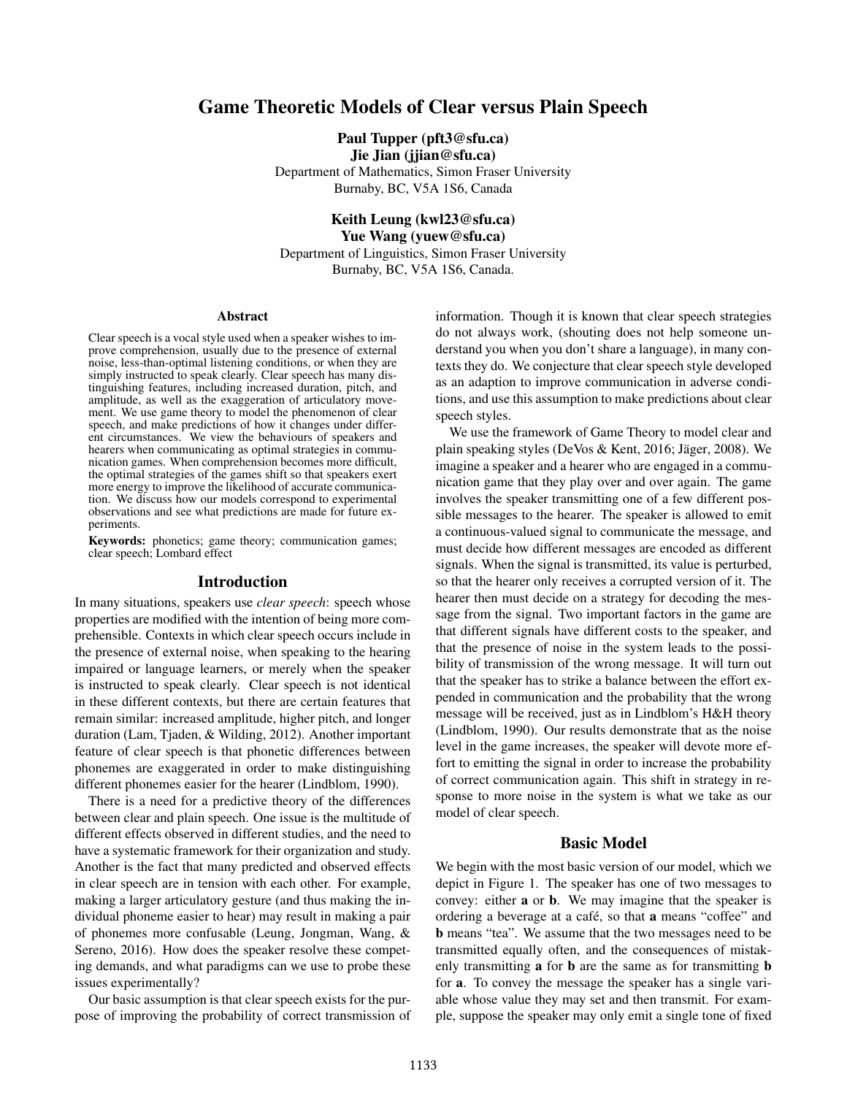## Game Theoretic Models of Clear versus Plain Speech

Paul Tupper (pft3@sfu.ca) Jie Jian (jjian@sfu.ca)

Department of Mathematics, Simon Fraser University Burnaby, BC, V5A 1S6, Canada

Keith Leung (kwl23@sfu.ca) Yue Wang (yuew@sfu.ca) Department of Linguistics, Simon Fraser University Burnaby, BC, V5A 1S6, Canada.

#### Abstract

Clear speech is a vocal style used when a speaker wishes to improve comprehension, usually due to the presence of external noise, less-than-optimal listening conditions, or when they are simply instructed to speak clearly. Clear speech has many distinguishing features, including increased duration, pitch, and amplitude, as well as the exaggeration of articulatory movement. We use game theory to model the phenomenon of clear speech, and make predictions of how it changes under different circumstances. We view the behaviours of speakers and hearers when communicating as optimal strategies in communication games. When comprehension becomes more difficult, the optimal strategies of the games shift so that speakers exert more energy to improve the likelihood of accurate communication. We discuss how our models correspond to experimental observations and see what predictions are made for future experiments.

Keywords: phonetics; game theory; communication games; clear speech; Lombard effect

#### Introduction

In many situations, speakers use *clear speech*: speech whose properties are modified with the intention of being more comprehensible. Contexts in which clear speech occurs include in the presence of external noise, when speaking to the hearing impaired or language learners, or merely when the speaker is instructed to speak clearly. Clear speech is not identical in these different contexts, but there are certain features that remain similar: increased amplitude, higher pitch, and longer duration (Lam, Tjaden, & Wilding, 2012). Another important feature of clear speech is that phonetic differences between phonemes are exaggerated in order to make distinguishing different phonemes easier for the hearer (Lindblom, 1990).

There is a need for a predictive theory of the differences between clear and plain speech. One issue is the multitude of different effects observed in different studies, and the need to have a systematic framework for their organization and study. Another is the fact that many predicted and observed effects in clear speech are in tension with each other. For example, making a larger articulatory gesture (and thus making the individual phoneme easier to hear) may result in making a pair of phonemes more confusable (Leung, Jongman, Wang, & Sereno, 2016). How does the speaker resolve these competing demands, and what paradigms can we use to probe these issues experimentally?

Our basic assumption is that clear speech exists for the purpose of improving the probability of correct transmission of information. Though it is known that clear speech strategies do not always work, (shouting does not help someone understand you when you don't share a language), in many contexts they do. We conjecture that clear speech style developed as an adaption to improve communication in adverse conditions, and use this assumption to make predictions about clear speech styles.

We use the framework of Game Theory to model clear and plain speaking styles (DeVos & Kent, 2016; Jäger, 2008). We imagine a speaker and a hearer who are engaged in a communication game that they play over and over again. The game involves the speaker transmitting one of a few different possible messages to the hearer. The speaker is allowed to emit a continuous-valued signal to communicate the message, and must decide how different messages are encoded as different signals. When the signal is transmitted, its value is perturbed, so that the hearer only receives a corrupted version of it. The hearer then must decide on a strategy for decoding the message from the signal. Two important factors in the game are that different signals have different costs to the speaker, and that the presence of noise in the system leads to the possibility of transmission of the wrong message. It will turn out that the speaker has to strike a balance between the effort expended in communication and the probability that the wrong message will be received, just as in Lindblom's H&H theory (Lindblom, 1990). Our results demonstrate that as the noise level in the game increases, the speaker will devote more effort to emitting the signal in order to increase the probability of correct communication again. This shift in strategy in response to more noise in the system is what we take as our model of clear speech.

## Basic Model

We begin with the most basic version of our model, which we depict in Figure 1. The speaker has one of two messages to convey: either a or b. We may imagine that the speaker is ordering a beverage at a café, so that **a** means "coffee" and b means "tea". We assume that the two messages need to be transmitted equally often, and the consequences of mistakenly transmitting **a** for **b** are the same as for transmitting **b** for a. To convey the message the speaker has a single variable whose value they may set and then transmit. For example, suppose the speaker may only emit a single tone of fixed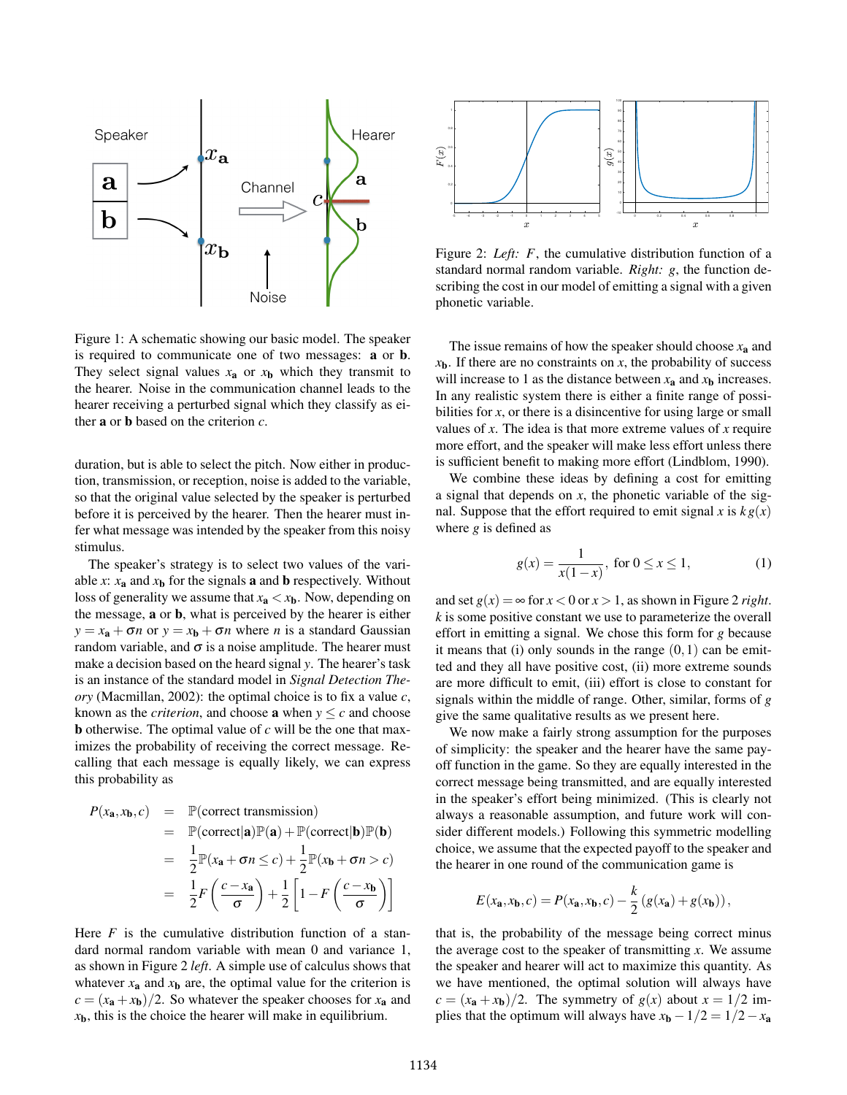

Figure 1: A schematic showing our basic model. The speaker is required to communicate one of two messages: a or b. They select signal values  $x_a$  or  $x_b$  which they transmit to the hearer. Noise in the communication channel leads to the hearer receiving a perturbed signal which they classify as either a or b based on the criterion *c*.

duration, but is able to select the pitch. Now either in production, transmission, or reception, noise is added to the variable, so that the original value selected by the speaker is perturbed before it is perceived by the hearer. Then the hearer must infer what message was intended by the speaker from this noisy stimulus.

The speaker's strategy is to select two values of the variable *x*:  $x_a$  and  $x_b$  for the signals **a** and **b** respectively. Without loss of generality we assume that  $x_a < x_b$ . Now, depending on the message, a or b, what is perceived by the hearer is either  $y = x_a + \sigma n$  or  $y = x_b + \sigma n$  where *n* is a standard Gaussian random variable, and  $\sigma$  is a noise amplitude. The hearer must make a decision based on the heard signal *y*. The hearer's task is an instance of the standard model in *Signal Detection Theory* (Macmillan, 2002): the optimal choice is to fix a value *c*, known as the *criterion*, and choose **a** when  $y \leq c$  and choose b otherwise. The optimal value of *c* will be the one that maximizes the probability of receiving the correct message. Recalling that each message is equally likely, we can express this probability as

$$
P(x_{\mathbf{a}}, x_{\mathbf{b}}, c) = \mathbb{P}(\text{correct transmission})
$$
  
=  $\mathbb{P}(\text{correct}|\mathbf{a})\mathbb{P}(\mathbf{a}) + \mathbb{P}(\text{correct}|\mathbf{b})\mathbb{P}(\mathbf{b})$   
=  $\frac{1}{2}\mathbb{P}(x_{\mathbf{a}} + \sigma n \leq c) + \frac{1}{2}\mathbb{P}(x_{\mathbf{b}} + \sigma n > c)$   
=  $\frac{1}{2}F\left(\frac{c - x_{\mathbf{a}}}{\sigma}\right) + \frac{1}{2}\left[1 - F\left(\frac{c - x_{\mathbf{b}}}{\sigma}\right)\right]$ 

Here  $F$  is the cumulative distribution function of a standard normal random variable with mean 0 and variance 1, as shown in Figure 2 *left*. A simple use of calculus shows that whatever  $x_a$  and  $x_b$  are, the optimal value for the criterion is  $c = (x_a + x_b)/2$ . So whatever the speaker chooses for  $x_a$  and  $x<sub>b</sub>$ , this is the choice the hearer will make in equilibrium.



Figure 2: *Left:* F, the cumulative distribution function of a standard normal random variable. *Right: g*, the function describing the cost in our model of emitting a signal with a given phonetic variable.

The issue remains of how the speaker should choose *x*<sup>a</sup> and  $x<sub>b</sub>$ . If there are no constraints on *x*, the probability of success will increase to 1 as the distance between  $x_a$  and  $x_b$  increases. In any realistic system there is either a finite range of possibilities for *x*, or there is a disincentive for using large or small values of *x*. The idea is that more extreme values of *x* require more effort, and the speaker will make less effort unless there is sufficient benefit to making more effort (Lindblom, 1990).

We combine these ideas by defining a cost for emitting a signal that depends on *x*, the phonetic variable of the signal. Suppose that the effort required to emit signal *x* is  $k g(x)$ where *g* is defined as

$$
g(x) = \frac{1}{x(1-x)}, \text{ for } 0 \le x \le 1,
$$
 (1)

and set  $g(x) = \infty$  for  $x < 0$  or  $x > 1$ , as shown in Figure 2 *right*. *k* is some positive constant we use to parameterize the overall effort in emitting a signal. We chose this form for *g* because it means that (i) only sounds in the range  $(0,1)$  can be emitted and they all have positive cost, (ii) more extreme sounds are more difficult to emit, (iii) effort is close to constant for signals within the middle of range. Other, similar, forms of *g* give the same qualitative results as we present here.

We now make a fairly strong assumption for the purposes of simplicity: the speaker and the hearer have the same payoff function in the game. So they are equally interested in the correct message being transmitted, and are equally interested in the speaker's effort being minimized. (This is clearly not always a reasonable assumption, and future work will consider different models.) Following this symmetric modelling choice, we assume that the expected payoff to the speaker and the hearer in one round of the communication game is

$$
E(x_{\mathbf{a}},x_{\mathbf{b}},c) = P(x_{\mathbf{a}},x_{\mathbf{b}},c) - \frac{k}{2} (g(x_{\mathbf{a}}) + g(x_{\mathbf{b}})),
$$

that is, the probability of the message being correct minus the average cost to the speaker of transmitting *x*. We assume the speaker and hearer will act to maximize this quantity. As we have mentioned, the optimal solution will always have  $c = (x_a + x_b)/2$ . The symmetry of  $g(x)$  about  $x = 1/2$  implies that the optimum will always have  $x_b - 1/2 = 1/2 - x_a$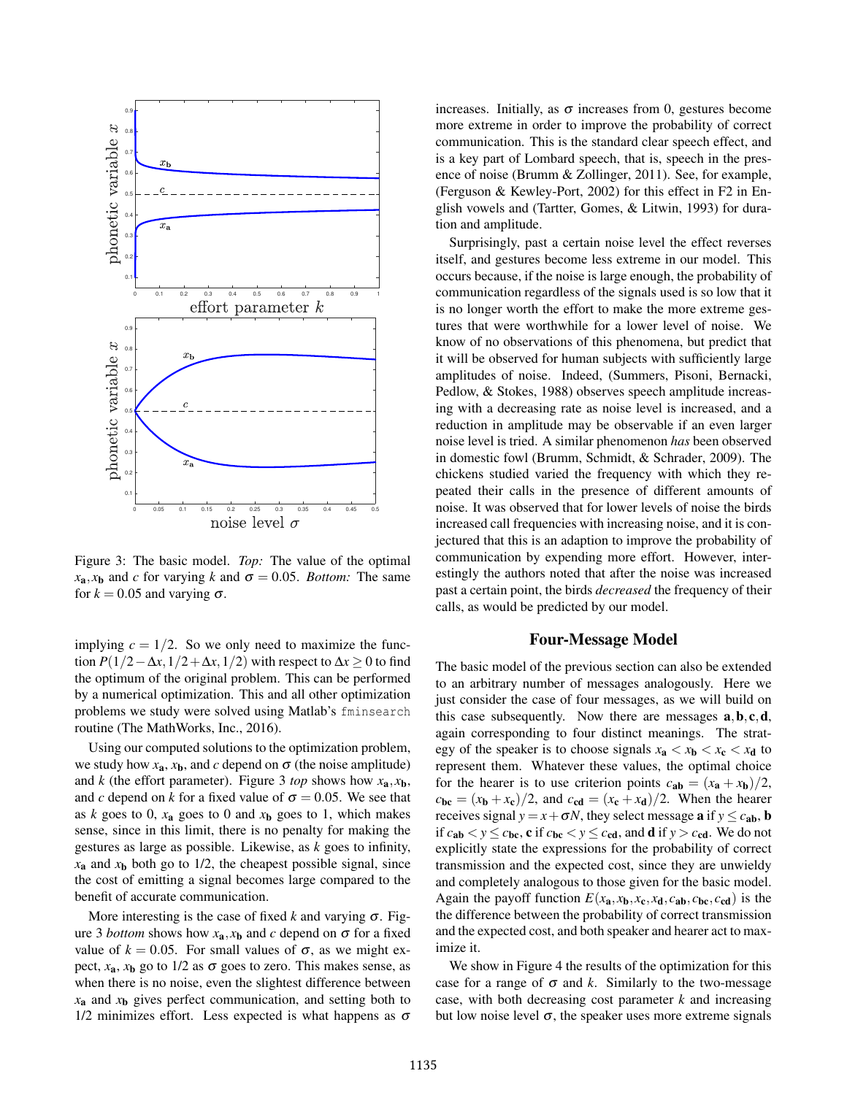

Figure 3: The basic model. *Top:* The value of the optimal  $x_a, x_b$  and *c* for varying *k* and  $\sigma = 0.05$ . *Bottom:* The same for  $k = 0.05$  and varying  $\sigma$ .

implying  $c = 1/2$ . So we only need to maximize the function  $P(1/2 - \Delta x, 1/2 + \Delta x, 1/2)$  with respect to  $\Delta x \ge 0$  to find the optimum of the original problem. This can be performed by a numerical optimization. This and all other optimization problems we study were solved using Matlab's fminsearch routine (The MathWorks, Inc., 2016).

Using our computed solutions to the optimization problem, we study how  $x_a$ ,  $x_b$ , and *c* depend on  $\sigma$  (the noise amplitude) and *k* (the effort parameter). Figure 3 *top* shows how  $x_a$ ,  $x_b$ , and *c* depend on *k* for a fixed value of  $\sigma = 0.05$ . We see that as  $k$  goes to 0,  $x_a$  goes to 0 and  $x_b$  goes to 1, which makes sense, since in this limit, there is no penalty for making the gestures as large as possible. Likewise, as *k* goes to infinity,  $x_a$  and  $x_b$  both go to 1/2, the cheapest possible signal, since the cost of emitting a signal becomes large compared to the benefit of accurate communication.

More interesting is the case of fixed  $k$  and varying  $\sigma$ . Figure 3 *bottom* shows how  $x_a$ ,  $x_b$  and *c* depend on  $\sigma$  for a fixed value of  $k = 0.05$ . For small values of  $\sigma$ , as we might expect,  $x_a$ ,  $x_b$  go to 1/2 as  $\sigma$  goes to zero. This makes sense, as when there is no noise, even the slightest difference between *x*<sup>a</sup> and *x*<sup>b</sup> gives perfect communication, and setting both to 1/2 minimizes effort. Less expected is what happens as  $\sigma$ 

increases. Initially, as  $\sigma$  increases from 0, gestures become more extreme in order to improve the probability of correct communication. This is the standard clear speech effect, and is a key part of Lombard speech, that is, speech in the presence of noise (Brumm & Zollinger, 2011). See, for example, (Ferguson & Kewley-Port, 2002) for this effect in F2 in English vowels and (Tartter, Gomes, & Litwin, 1993) for duration and amplitude.

Surprisingly, past a certain noise level the effect reverses itself, and gestures become less extreme in our model. This occurs because, if the noise is large enough, the probability of communication regardless of the signals used is so low that it is no longer worth the effort to make the more extreme gestures that were worthwhile for a lower level of noise. We know of no observations of this phenomena, but predict that it will be observed for human subjects with sufficiently large amplitudes of noise. Indeed, (Summers, Pisoni, Bernacki, Pedlow, & Stokes, 1988) observes speech amplitude increasing with a decreasing rate as noise level is increased, and a reduction in amplitude may be observable if an even larger noise level is tried. A similar phenomenon *has* been observed in domestic fowl (Brumm, Schmidt, & Schrader, 2009). The chickens studied varied the frequency with which they repeated their calls in the presence of different amounts of noise. It was observed that for lower levels of noise the birds increased call frequencies with increasing noise, and it is conjectured that this is an adaption to improve the probability of communication by expending more effort. However, interestingly the authors noted that after the noise was increased past a certain point, the birds *decreased* the frequency of their calls, as would be predicted by our model.

### Four-Message Model

The basic model of the previous section can also be extended to an arbitrary number of messages analogously. Here we just consider the case of four messages, as we will build on this case subsequently. Now there are messages  $a, b, c, d$ , again corresponding to four distinct meanings. The strategy of the speaker is to choose signals  $x_a < x_b < x_c < x_d$  to represent them. Whatever these values, the optimal choice for the hearer is to use criterion points  $c_{ab} = (x_a + x_b)/2$ ,  $c_{bc} = (x_b + x_c)/2$ , and  $c_{cd} = (x_c + x_d)/2$ . When the hearer receives signal  $y = x + \sigma N$ , they select message **a** if  $y \leq c_{ab}$ , **b** if  $c_{ab} < y \leq c_{bc}$ , c if  $c_{bc} < y \leq c_{cd}$ , and d if  $y > c_{cd}$ . We do not explicitly state the expressions for the probability of correct transmission and the expected cost, since they are unwieldy and completely analogous to those given for the basic model. Again the payoff function  $E(x_a, x_b, x_c, x_d, c_{ab}, c_{bc}, c_{cd})$  is the the difference between the probability of correct transmission and the expected cost, and both speaker and hearer act to maximize it.

We show in Figure 4 the results of the optimization for this case for a range of  $\sigma$  and *k*. Similarly to the two-message case, with both decreasing cost parameter *k* and increasing but low noise level σ, the speaker uses more extreme signals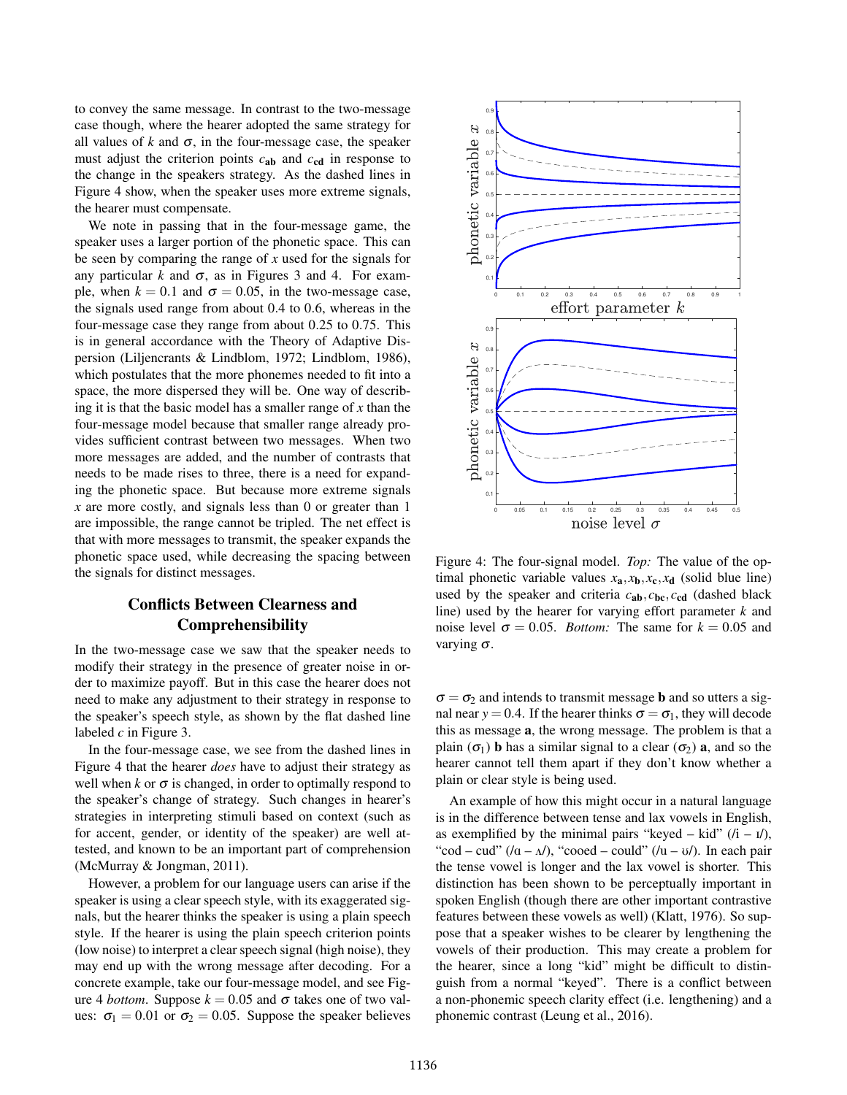to convey the same message. In contrast to the two-message case though, where the hearer adopted the same strategy for all values of  $k$  and  $\sigma$ , in the four-message case, the speaker must adjust the criterion points *c*ab and *c*cd in response to the change in the speakers strategy. As the dashed lines in Figure 4 show, when the speaker uses more extreme signals, the hearer must compensate.

We note in passing that in the four-message game, the speaker uses a larger portion of the phonetic space. This can be seen by comparing the range of *x* used for the signals for any particular  $k$  and  $\sigma$ , as in Figures 3 and 4. For example, when  $k = 0.1$  and  $\sigma = 0.05$ , in the two-message case, the signals used range from about 0.4 to 0.6, whereas in the four-message case they range from about 0.25 to 0.75. This is in general accordance with the Theory of Adaptive Dispersion (Liljencrants & Lindblom, 1972; Lindblom, 1986), which postulates that the more phonemes needed to fit into a space, the more dispersed they will be. One way of describing it is that the basic model has a smaller range of *x* than the four-message model because that smaller range already provides sufficient contrast between two messages. When two more messages are added, and the number of contrasts that needs to be made rises to three, there is a need for expanding the phonetic space. But because more extreme signals *x* are more costly, and signals less than 0 or greater than 1 are impossible, the range cannot be tripled. The net effect is that with more messages to transmit, the speaker expands the phonetic space used, while decreasing the spacing between the signals for distinct messages.

# Conflicts Between Clearness and Comprehensibility

In the two-message case we saw that the speaker needs to modify their strategy in the presence of greater noise in order to maximize payoff. But in this case the hearer does not need to make any adjustment to their strategy in response to the speaker's speech style, as shown by the flat dashed line labeled *c* in Figure 3.

In the four-message case, we see from the dashed lines in Figure 4 that the hearer *does* have to adjust their strategy as well when  $k$  or  $\sigma$  is changed, in order to optimally respond to the speaker's change of strategy. Such changes in hearer's strategies in interpreting stimuli based on context (such as for accent, gender, or identity of the speaker) are well attested, and known to be an important part of comprehension (McMurray & Jongman, 2011).

However, a problem for our language users can arise if the speaker is using a clear speech style, with its exaggerated signals, but the hearer thinks the speaker is using a plain speech style. If the hearer is using the plain speech criterion points (low noise) to interpret a clear speech signal (high noise), they may end up with the wrong message after decoding. For a concrete example, take our four-message model, and see Figure 4 *bottom*. Suppose  $k = 0.05$  and  $\sigma$  takes one of two values:  $\sigma_1 = 0.01$  or  $\sigma_2 = 0.05$ . Suppose the speaker believes



Figure 4: The four-signal model. *Top:* The value of the optimal phonetic variable values  $x_a, x_b, x_c, x_d$  (solid blue line) used by the speaker and criteria  $c_{ab}$ ,  $c_{bc}$ ,  $c_{cd}$  (dashed black line) used by the hearer for varying effort parameter *k* and noise level  $\sigma = 0.05$ . *Bottom:* The same for  $k = 0.05$  and varying  $\sigma$ .

 $\sigma = \sigma_2$  and intends to transmit message **b** and so utters a signal near  $y = 0.4$ . If the hearer thinks  $\sigma = \sigma_1$ , they will decode this as message a, the wrong message. The problem is that a plain ( $\sigma_1$ ) **b** has a similar signal to a clear ( $\sigma_2$ ) **a**, and so the hearer cannot tell them apart if they don't know whether a plain or clear style is being used.

An example of how this might occur in a natural language is in the difference between tense and lax vowels in English, as exemplified by the minimal pairs "keyed – kid"  $(i - i)$ , "cod – cud"  $((a - \Lambda)$ , "cooed – could"  $((u - \sigma)$ . In each pair the tense vowel is longer and the lax vowel is shorter. This distinction has been shown to be perceptually important in spoken English (though there are other important contrastive features between these vowels as well) (Klatt, 1976). So suppose that a speaker wishes to be clearer by lengthening the vowels of their production. This may create a problem for the hearer, since a long "kid" might be difficult to distinguish from a normal "keyed". There is a conflict between a non-phonemic speech clarity effect (i.e. lengthening) and a phonemic contrast (Leung et al., 2016).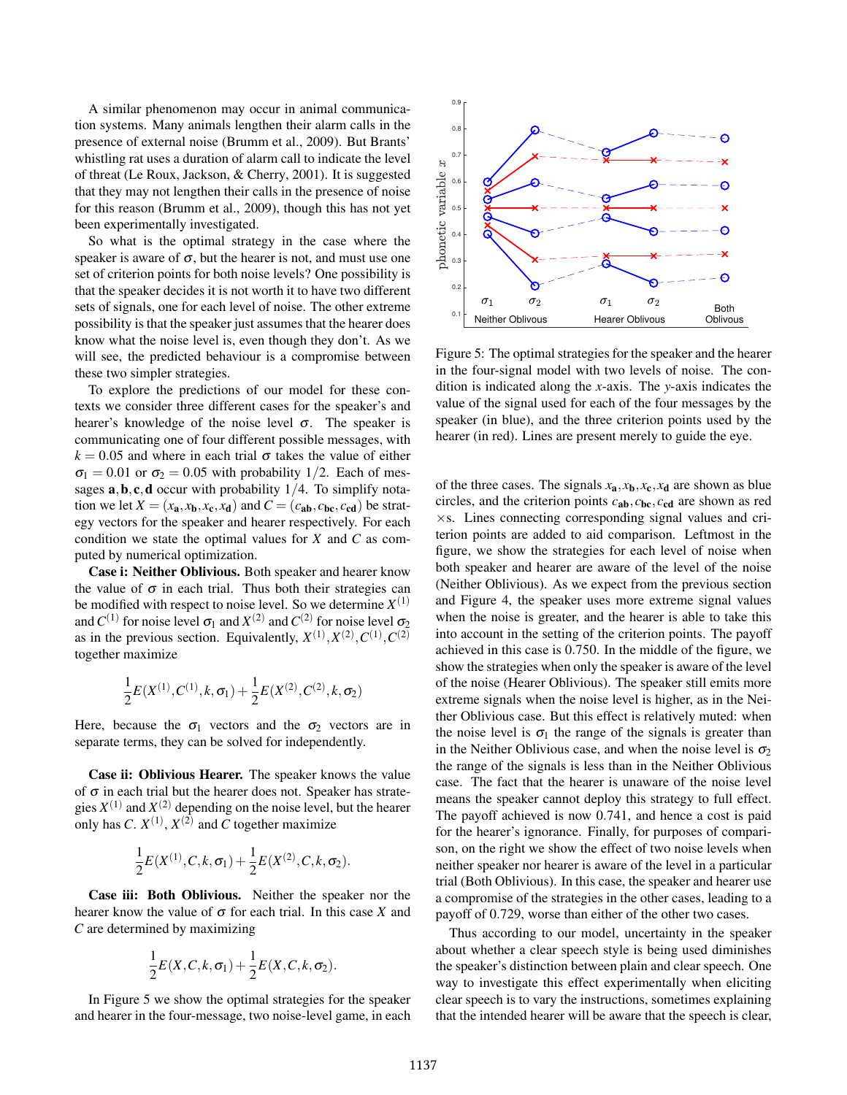A similar phenomenon may occur in animal communication systems. Many animals lengthen their alarm calls in the presence of external noise (Brumm et al., 2009). But Brants' whistling rat uses a duration of alarm call to indicate the level of threat (Le Roux, Jackson, & Cherry, 2001). It is suggested that they may not lengthen their calls in the presence of noise for this reason (Brumm et al., 2009), though this has not yet been experimentally investigated.

So what is the optimal strategy in the case where the speaker is aware of  $\sigma$ , but the hearer is not, and must use one set of criterion points for both noise levels? One possibility is that the speaker decides it is not worth it to have two different sets of signals, one for each level of noise. The other extreme possibility is that the speaker just assumes that the hearer does know what the noise level is, even though they don't. As we will see, the predicted behaviour is a compromise between these two simpler strategies.

To explore the predictions of our model for these contexts we consider three different cases for the speaker's and hearer's knowledge of the noise level  $\sigma$ . The speaker is communicating one of four different possible messages, with  $k = 0.05$  and where in each trial  $\sigma$  takes the value of either  $\sigma_1 = 0.01$  or  $\sigma_2 = 0.05$  with probability 1/2. Each of messages  $\mathbf{a}, \mathbf{b}, \mathbf{c}, \mathbf{d}$  occur with probability 1/4. To simplify notation we let  $X = (x_a, x_b, x_c, x_d)$  and  $C = (c_{ab}, c_{bc}, c_{cd})$  be strategy vectors for the speaker and hearer respectively. For each condition we state the optimal values for *X* and *C* as computed by numerical optimization.

Case i: Neither Oblivious. Both speaker and hearer know the value of  $\sigma$  in each trial. Thus both their strategies can be modified with respect to noise level. So we determine  $X^{(1)}$ and  $C^{(1)}$  for noise level  $\sigma_1$  and  $X^{(2)}$  and  $C^{(2)}$  for noise level  $\sigma_2$ as in the previous section. Equivalently,  $X^{(1)}, X^{(2)}, C^{(1)}, C^{(2)}$ together maximize

$$
\frac{1}{2}E(X^{(1)},C^{(1)},k,\sigma_1) + \frac{1}{2}E(X^{(2)},C^{(2)},k,\sigma_2)
$$

Here, because the  $\sigma_1$  vectors and the  $\sigma_2$  vectors are in separate terms, they can be solved for independently.

Case ii: Oblivious Hearer. The speaker knows the value of  $\sigma$  in each trial but the hearer does not. Speaker has strategies  $X^{(1)}$  and  $X^{(2)}$  depending on the noise level, but the hearer only has *C*.  $X^{(1)}$ ,  $X^{(2)}$  and *C* together maximize

$$
\frac{1}{2}E(X^{(1)},C,k,\sigma_1)+\frac{1}{2}E(X^{(2)},C,k,\sigma_2).
$$

Case iii: Both Oblivious. Neither the speaker nor the hearer know the value of  $\sigma$  for each trial. In this case *X* and *C* are determined by maximizing

$$
\frac{1}{2}E(X,C,k,\sigma_1)+\frac{1}{2}E(X,C,k,\sigma_2).
$$

In Figure 5 we show the optimal strategies for the speaker and hearer in the four-message, two noise-level game, in each



Figure 5: The optimal strategies for the speaker and the hearer in the four-signal model with two levels of noise. The condition is indicated along the *x*-axis. The *y*-axis indicates the value of the signal used for each of the four messages by the speaker (in blue), and the three criterion points used by the hearer (in red). Lines are present merely to guide the eye.

of the three cases. The signals  $x_a$ ,  $x_b$ ,  $x_c$ ,  $x_d$  are shown as blue circles, and the criterion points *c*ab, *c*bc, *c*cd are shown as red  $\times$ s. Lines connecting corresponding signal values and criterion points are added to aid comparison. Leftmost in the figure, we show the strategies for each level of noise when both speaker and hearer are aware of the level of the noise (Neither Oblivious). As we expect from the previous section and Figure 4, the speaker uses more extreme signal values when the noise is greater, and the hearer is able to take this into account in the setting of the criterion points. The payoff achieved in this case is 0.750. In the middle of the figure, we show the strategies when only the speaker is aware of the level of the noise (Hearer Oblivious). The speaker still emits more extreme signals when the noise level is higher, as in the Neither Oblivious case. But this effect is relatively muted: when the noise level is  $\sigma_1$  the range of the signals is greater than in the Neither Oblivious case, and when the noise level is  $\sigma_2$ the range of the signals is less than in the Neither Oblivious case. The fact that the hearer is unaware of the noise level means the speaker cannot deploy this strategy to full effect. The payoff achieved is now 0.741, and hence a cost is paid for the hearer's ignorance. Finally, for purposes of comparison, on the right we show the effect of two noise levels when neither speaker nor hearer is aware of the level in a particular trial (Both Oblivious). In this case, the speaker and hearer use a compromise of the strategies in the other cases, leading to a payoff of 0.729, worse than either of the other two cases.

Thus according to our model, uncertainty in the speaker about whether a clear speech style is being used diminishes the speaker's distinction between plain and clear speech. One way to investigate this effect experimentally when eliciting clear speech is to vary the instructions, sometimes explaining that the intended hearer will be aware that the speech is clear,